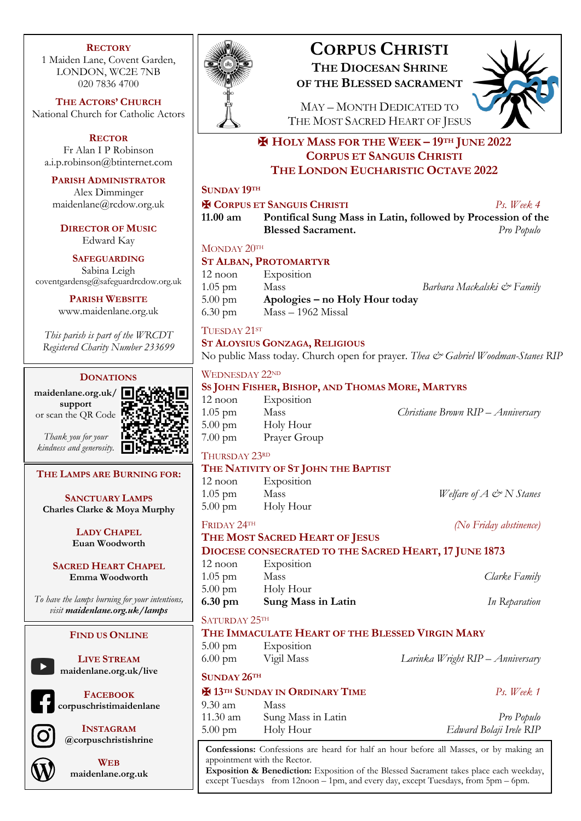#### **RECTORY**

1 Maiden Lane, Covent Garden, LONDON, WC2E 7NB 020 7836 4700

**THE ACTORS' CHURCH** National Church for Catholic Actors

**RECTOR** Fr Alan I P Robinson a.i.p.robinson@btinternet.com

**PARISH ADMINISTRATOR**

Alex Dimminger maidenlane@rcdow.org.uk

**DIRECTOR OF MUSIC** Edward Kay

**SAFEGUARDING**

Sabina Leigh coventgardensg@safeguardrcdow.org.uk

**PARISH WEBSITE**

www.maidenlane.org.uk

*This parish is part of the WRCDT Registered Charity Number 233699*

## **DONATIONS**

**maidenlane.org.uk/ support** or scan the QR Code



*Thank you for your kindness and generosity.*

**THE LAMPS ARE BURNING FOR:**

**SANCTUARY LAMPS Charles Clarke & Moya Murphy**

> **LADY CHAPEL Euan Woodworth**

**SACRED HEART CHAPEL Emma Woodworth**

*To have the lamps burning for your intentions, visit maidenlane.org.uk/lamps*

#### **FIND US ONLINE**

**LIVE STREAM maidenlane.org.uk/live**

**FACEBOOK**

**corpuschristimaidenlane**



**INSTAGRAM @corpuschristishrine**



**WEB maidenlane.org.uk**



# **CORPUS CHRISTI THE DIOCESAN SHRINE**

**OF THE BLESSED SACRAMENT**



MAY – MONTH DEDICATED TO THE MOST SACRED HEART OF JESUS

## ✠ **HOLY MASS FOR THE WEEK – 19TH JUNE 2022 CORPUS ET SANGUIS CHRISTI THE LONDON EUCHARISTIC OCTAVE 2022**

## **SUNDAY 19TH**

#### ✠ **CORPUS ET SANGUIS CHRISTI** *Ps. Week 4*

**11.00 am Pontifical Sung Mass in Latin, followed by Procession of the Blessed Sacrament.** *Pro Populo*

#### MONDAY 20TH

## **ST ALBAN, PROTOMARTYR**

12 noon Exposition 1.05 pm Mass *Barbara Mackalski & Family* 5.00 pm **Apologies – no Holy Hour today** 6.30 pm Mass – 1962 Missal

## TUESDAY 21ST

#### **ST ALOYSIUS GONZAGA, RELIGIOUS**

No public Mass today. Church open for prayer. *Thea & Gabriel Woodman-Stanes RIP* 

#### WEDNESDAY 22ND

## **SS JOHN FISHER, BISHOP, AND THOMAS MORE, MARTYRS**

| $12$ noon         | Exposition   |
|-------------------|--------------|
| $1.05$ pm         | Mass         |
| $5.00 \text{ pm}$ | Holy Hour    |
| $7.00 \text{ pm}$ | Prayer Group |

## THURSDAY 23RD

#### **THE NATIVITY OF ST JOHN THE BAPTIST**

| $12$ noon         | Exposition |                                            |
|-------------------|------------|--------------------------------------------|
| $1.05$ pm         | Mass       | <i>Welfare of A</i> $\mathcal{O}$ N Stanes |
| $5.00 \text{ pm}$ | Holy Hour  |                                            |

1.05 pm Mass *Christiane Brown RIP – Anniversary*

FRIDAY 24TH *(No Friday abstinence)*

## **THE MOST SACRED HEART OF JESUS DIOCESE CONSECRATED TO THE SACRED HEART, 17 JUNE 1873**

| 6.30 pm           | Sung Mass in Latin | In Reparation |
|-------------------|--------------------|---------------|
| $5.00 \text{ pm}$ | Holy Hour          |               |
| $1.05$ pm         | Mass               | Clarke Family |
| $12$ noon         | Exposition         |               |

## SATURDAY 25TH

|                                       |            | THE IMMACULATE HEART OF THE BLESSED VIRGIN MARY |
|---------------------------------------|------------|-------------------------------------------------|
| $5.00 \text{ pm}$                     | Exposition |                                                 |
| $6.00 \text{ pm}$                     | Vigil Mass | Larinka Wright RIP – Anniversary                |
| SUNDAY 26TH                           |            |                                                 |
| <b>H</b> 13TH SUNDAY IN ORDINARY TIME |            | Ps. Week 1                                      |

## 9.30 am Mass 11.30 am Sung Mass in Latin *Pro Populo*

5.00 pm Holy Hour *Edward Bolaji Irele RIP*

**Confessions:** Confessions are heard for half an hour before all Masses, or by making an appointment with the Rector.

**Exposition & Benediction:** Exposition of the Blessed Sacrament takes place each weekday, except Tuesdays from 12noon – 1pm, and every day, except Tuesdays, from 5pm – 6pm.